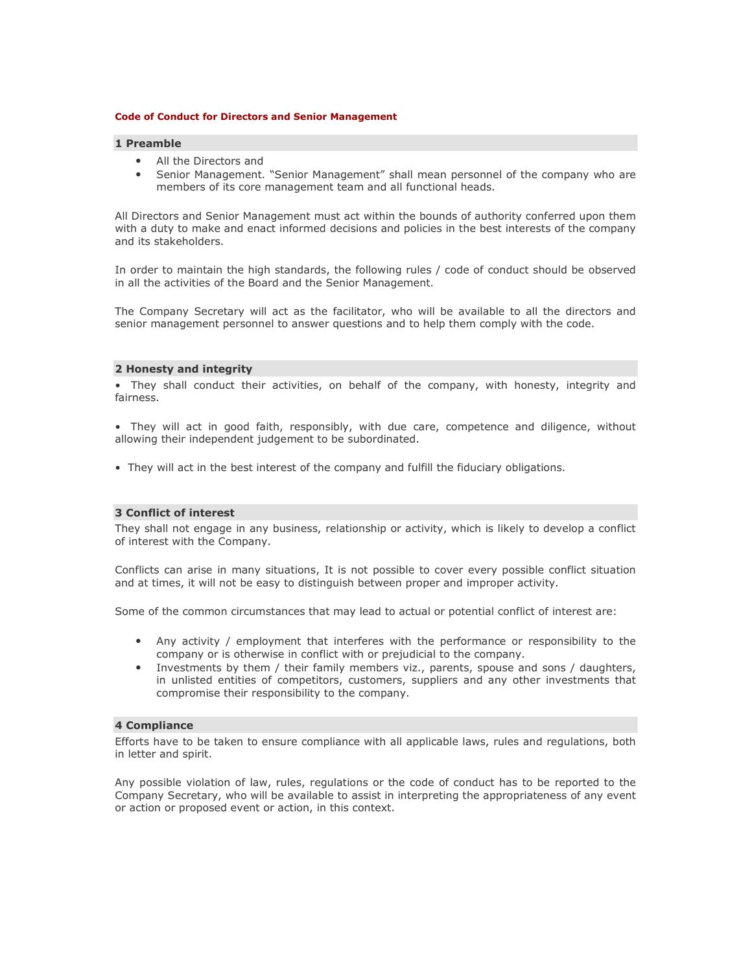#### **Code of Conduct for Directors and Senior Management**

# **1 Preamble**

- All the Directors and
- Senior Management. "Senior Management" shall mean personnel of the company who are members of its core management team and all functional heads.

All Directors and Senior Management must act within the bounds of authority conferred upon them with a duty to make and enact informed decisions and policies in the best interests of the company and its stakeholders.

In order to maintain the high standards, the following rules / code of conduct should be observed in all the activities of the Board and the Senior Management.

The Company Secretary will act as the facilitator, who will be available to all the directors and senior management personnel to answer questions and to help them comply with the code.

#### **2 Honesty and integrity**

• They shall conduct their activities, on behalf of the company, with honesty, integrity and fairness.

• They will act in good faith, responsibly, with due care, competence and diligence, without allowing their independent judgement to be subordinated.

• They will act in the best interest of the company and fulfill the fiduciary obligations.

# **3 Conflict of interest**

They shall not engage in any business, relationship or activity, which is likely to develop a conflict of interest with the Company.

Conflicts can arise in many situations, It is not possible to cover every possible conflict situation and at times, it will not be easy to distinguish between proper and improper activity.

Some of the common circumstances that may lead to actual or potential conflict of interest are:

- Any activity / employment that interferes with the performance or responsibility to the company or is otherwise in conflict with or prejudicial to the company.
- Investments by them / their family members viz., parents, spouse and sons / daughters, in unlisted entities of competitors, customers, suppliers and any other investments that compromise their responsibility to the company.

# **4 Compliance**

Efforts have to be taken to ensure compliance with all applicable laws, rules and regulations, both in letter and spirit.

Any possible violation of law, rules, regulations or the code of conduct has to be reported to the Company Secretary, who will be available to assist in interpreting the appropriateness of any event or action or proposed event or action, in this context.